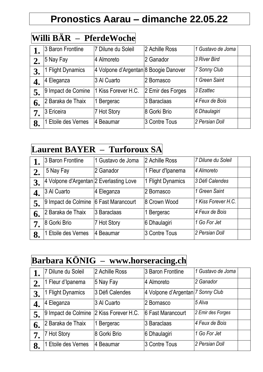# **Pronostics Aarau – dimanche 22.05.22**

#### **Willi BÄR – PferdeWoche**

|    | 3 Baron Frontline      | 7 Dilune du Soleil                    | 2 Achille Ross    | 1 Gustavo de Joma |
|----|------------------------|---------------------------------------|-------------------|-------------------|
| 2. | 5 Nay Fay              | 4 Almoreto                            | 2 Ganador         | 3 River Bird      |
| 3. | <b>Flight Dynamics</b> | 4 Volpone d'Argentan 8 Boogie Danover |                   | 7 Sonny Club      |
| 4. | 4 Eleganza             | 3 Al Cuarto                           | 2 Bornasco        | 1 Green Saint     |
| 5. | 9 Impact de Comine     | 1 Kiss Forever H.C.                   | 2 Emir des Forges | 3 Ezattec         |
| 6. | 2 Baraka de Thaix      | 1 Bergerac                            | 3 Baraclaas       | 4 Feux de Bois    |
| 7. | 3 Ericeira             | 7 Hot Story                           | 8 Gorki Brio      | 6 Dhaulagiri      |
| 8. | Etoile des Vernes      | 4 Beaumar                             | 3 Contre Tous     | 2 Persian Doll    |

### **Laurent BAYER – Turforoux SA**

|    | 3 Baron Frontline                       | 1 Gustavo de Joma | 2 Achille Ross         | 7 Dilune du Soleil  |  |
|----|-----------------------------------------|-------------------|------------------------|---------------------|--|
| 2. | 5 Nay Fay                               | 2 Ganador         | 1 Fleur d'Ipanema      | 4 Almoreto          |  |
|    | 4 Volpone d'Argentan 2 Everlasting Love |                   | <b>Flight Dynamics</b> | 3 Défi Calendes     |  |
| 4. | 3 Al Cuarto                             | 4 Eleganza        | 2 Bornasco             | 1 Green Saint       |  |
| 5. | 9 Impact de Colmine                     | 6 Fast Marancourt | 8 Crown Wood           | 1 Kiss Forever H.C. |  |
| 6. | 2 Baraka de Thaix                       | 3 Baraclaas       | Bergerac               | 4 Feux de Bois      |  |
| 7. | 8 Gorki Brio                            | 7 Hot Story       | 6 Dhaulagiri           | 1 Go For Jet        |  |
| 8. | Etoile des Vernes                       | 4 Beaumar         | 3 Contre Tous          | 2 Persian Doll      |  |

# **Barbara KÖNIG – www.horseracing.ch**

|    | 7 Dilune du Soleil     | 2 Achille Ross      | 3 Baron Frontline                 | 1 Gustavo de Joma |
|----|------------------------|---------------------|-----------------------------------|-------------------|
|    | 1 Fleur d'Ipanema      | 5 Nay Fay           | 4 Almoreto                        | 2 Ganador         |
| 3. | <b>Flight Dynamics</b> | 3 Défi Calendes     | 4 Volpone d'Argentan 7 Sonny Club |                   |
|    | 4 Eleganza             | 3 Al Cuarto         | 2 Bornasco                        | 5 Alva            |
|    | 9 Impact de Colmine    | 2 Kiss Forever H.C. | 6 Fast Marancourt                 | 2 Emir des Forges |
| 6. | 2 Baraka de Thaix      | 1 Bergerac          | 3 Baraclaas                       | 4 Feux de Bois    |
| 7. | 7 Hot Story            | 8 Gorki Brio        | 6 Dhaulagiri                      | 1 Go For Jet      |
| 8. | Etoile des Vernes      | 4 Beaumar           | 3 Contre Tous                     | 2 Persian Doll    |